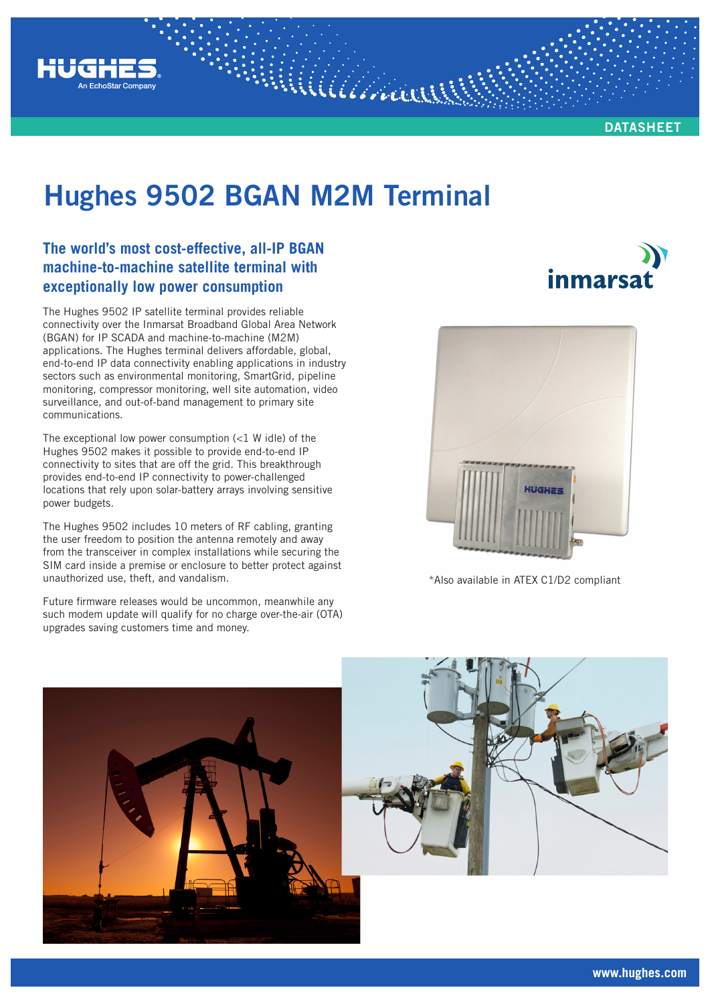

**DATASHEET**

*inmarsa* 

# **Hughes 9502 BGAN M2M Terminal**

William

### **The world's most cost-effective, all-IP BGAN machine-to-machine satellite terminal with exceptionally low power consumption**

The Hughes 9502 IP satellite terminal provides reliable connectivity over the Inmarsat Broadband Global Area Network (BGAN) for IP SCADA and machine-to-machine (M2M) applications. The Hughes terminal delivers affordable, global, end-to-end IP data connectivity enabling applications in industry sectors such as environmental monitoring, SmartGrid, pipeline monitoring, compressor monitoring, well site automation, video surveillance, and out-of-band management to primary site communications.

The exceptional low power consumption  $\left( < 1 \right)$  W idle) of the Hughes 9502 makes it possible to provide end-to-end IP connectivity to sites that are off the grid. This breakthrough provides end-to-end IP connectivity to power-challenged locations that rely upon solar-battery arrays involving sensitive power budgets.

The Hughes 9502 includes 10 meters of RF cabling, granting the user freedom to position the antenna remotely and away from the transceiver in complex installations while securing the SIM card inside a premise or enclosure to better protect against unauthorized use, theft, and vandalism.

Future firmware releases would be uncommon, meanwhile any such modem update will qualify for no charge over-the-air (OTA) upgrades saving customers time and money.



\*Also available in ATEX C1/D2 compliant





**www.hughes.com**